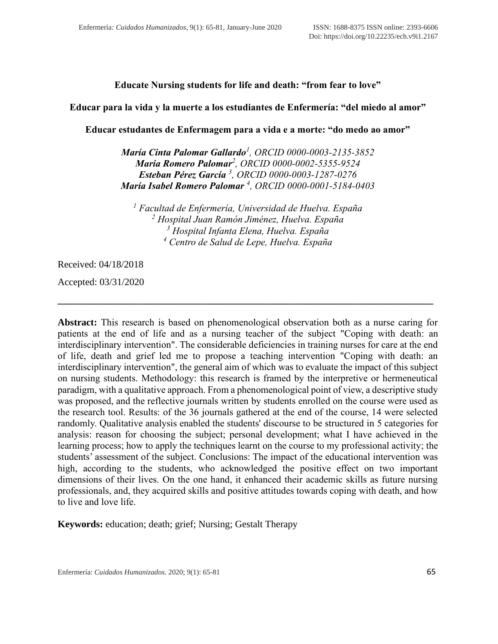## **Educate Nursing students for life and death: "from fear to love"**

### **Educar para la vida y la muerte a los estudiantes de Enfermería: "del miedo al amor"**

**Educar estudantes de Enfermagem para a vida e a morte: "do medo ao amor"**

*María Cinta Palomar Gallardo<sup>1</sup> , ORCID [0000-0003-2135-3852](https://orcid.org/0000-0003-2135-3852) María Romero Palomar<sup>2</sup> , ORCID [0000-0002-5355-9524](https://orcid.org/0000-0002-5355-9524) Esteban Pérez García <sup>3</sup> , ORCID [0000-0003-1287-0276](https://orcid.org/0000-0003-1287-0276) María Isabel Romero Palomar <sup>4</sup> , ORCID [0000-0001-5184-0403](https://orcid.org/0000-0001-5184-0403)*

 *Facultad de Enfermería, Universidad de Huelva. España Hospital Juan Ramón Jiménez, Huelva. España Hospital Infanta Elena, Huelva. España Centro de Salud de Lepe, Huelva. España*

**\_\_\_\_\_\_\_\_\_\_\_\_\_\_\_\_\_\_\_\_\_\_\_\_\_\_\_\_\_\_\_\_\_\_\_\_\_\_\_\_\_\_\_\_\_\_\_\_\_\_\_\_\_\_\_\_\_\_\_\_\_\_\_\_\_\_\_\_\_\_\_\_\_\_\_\_\_**

Received: 04/18/2018

Accepted: 03/31/2020

**Abstract:** This research is based on phenomenological observation both as a nurse caring for patients at the end of life and as a nursing teacher of the subject "Coping with death: an interdisciplinary intervention". The considerable deficiencies in training nurses for care at the end of life, death and grief led me to propose a teaching intervention "Coping with death: an interdisciplinary intervention", the general aim of which was to evaluate the impact of this subject on nursing students. Methodology: this research is framed by the interpretive or hermeneutical paradigm, with a qualitative approach. From a phenomenological point of view, a descriptive study was proposed, and the reflective journals written by students enrolled on the course were used as the research tool. Results: of the 36 journals gathered at the end of the course, 14 were selected randomly. Qualitative analysis enabled the students' discourse to be structured in 5 categories for analysis: reason for choosing the subject; personal development; what I have achieved in the learning process; how to apply the techniques learnt on the course to my professional activity; the students' assessment of the subject. Conclusions: The impact of the educational intervention was high, according to the students, who acknowledged the positive effect on two important dimensions of their lives. On the one hand, it enhanced their academic skills as future nursing professionals, and, they acquired skills and positive attitudes towards coping with death, and how to live and love life.

**Keywords:** education; death; grief; Nursing; Gestalt Therapy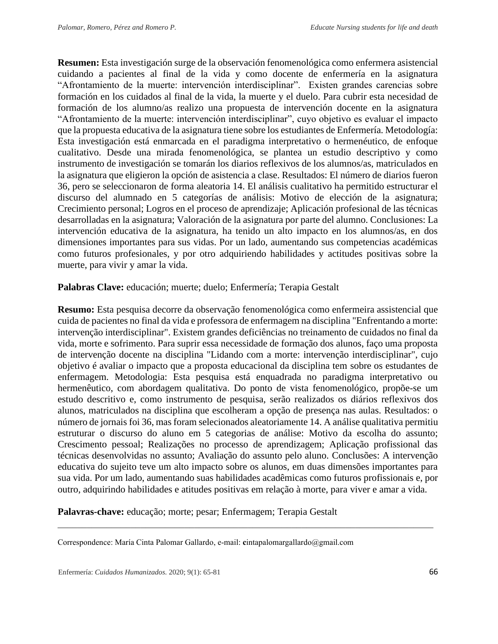**Resumen:** Esta investigación surge de la observación fenomenológica como enfermera asistencial cuidando a pacientes al final de la vida y como docente de enfermería en la asignatura "Afrontamiento de la muerte: intervención interdisciplinar". Existen grandes carencias sobre formación en los cuidados al final de la vida, la muerte y el duelo. Para cubrir esta necesidad de formación de los alumno/as realizo una propuesta de intervención docente en la asignatura "Afrontamiento de la muerte: intervención interdisciplinar", cuyo objetivo es evaluar el impacto que la propuesta educativa de la asignatura tiene sobre los estudiantes de Enfermería. Metodología: Esta investigación está enmarcada en el paradigma interpretativo o hermenéutico, de enfoque cualitativo. Desde una mirada fenomenológica, se plantea un estudio descriptivo y como instrumento de investigación se tomarán los diarios reflexivos de los alumnos/as, matriculados en la asignatura que eligieron la opción de asistencia a clase. Resultados: El número de diarios fueron 36, pero se seleccionaron de forma aleatoria 14. El análisis cualitativo ha permitido estructurar el discurso del alumnado en 5 categorías de análisis: Motivo de elección de la asignatura; Crecimiento personal; Logros en el proceso de aprendizaje; Aplicación profesional de las técnicas desarrolladas en la asignatura; Valoración de la asignatura por parte del alumno. Conclusiones: La intervención educativa de la asignatura, ha tenido un alto impacto en los alumnos/as, en dos dimensiones importantes para sus vidas. Por un lado, aumentando sus competencias académicas como futuros profesionales, y por otro adquiriendo habilidades y actitudes positivas sobre la muerte, para vivir y amar la vida.

### **Palabras Clave:** educación; muerte; duelo; Enfermería; Terapia Gestalt

**Resumo:** Esta pesquisa decorre da observação fenomenológica como enfermeira assistencial que cuida de pacientes no final da vida e professora de enfermagem na disciplina "Enfrentando a morte: intervenção interdisciplinar". Existem grandes deficiências no treinamento de cuidados no final da vida, morte e sofrimento. Para suprir essa necessidade de formação dos alunos, faço uma proposta de intervenção docente na disciplina "Lidando com a morte: intervenção interdisciplinar", cujo objetivo é avaliar o impacto que a proposta educacional da disciplina tem sobre os estudantes de enfermagem. Metodologia: Esta pesquisa está enquadrada no paradigma interpretativo ou hermenêutico, com abordagem qualitativa. Do ponto de vista fenomenológico, propõe-se um estudo descritivo e, como instrumento de pesquisa, serão realizados os diários reflexivos dos alunos, matriculados na disciplina que escolheram a opção de presença nas aulas. Resultados: o número de jornais foi 36, mas foram selecionados aleatoriamente 14. A análise qualitativa permitiu estruturar o discurso do aluno em 5 categorias de análise: Motivo da escolha do assunto; Crescimento pessoal; Realizações no processo de aprendizagem; Aplicação profissional das técnicas desenvolvidas no assunto; Avaliação do assunto pelo aluno. Conclusões: A intervenção educativa do sujeito teve um alto impacto sobre os alunos, em duas dimensões importantes para sua vida. Por um lado, aumentando suas habilidades acadêmicas como futuros profissionais e, por outro, adquirindo habilidades e atitudes positivas em relação à morte, para viver e amar a vida.

**Palavras-chave:** educação; morte; pesar; Enfermagem; Terapia Gestalt

Correspondence: María Cinta Palomar Gallardo, e-mail: **c**intapalomargallardo@gmail.com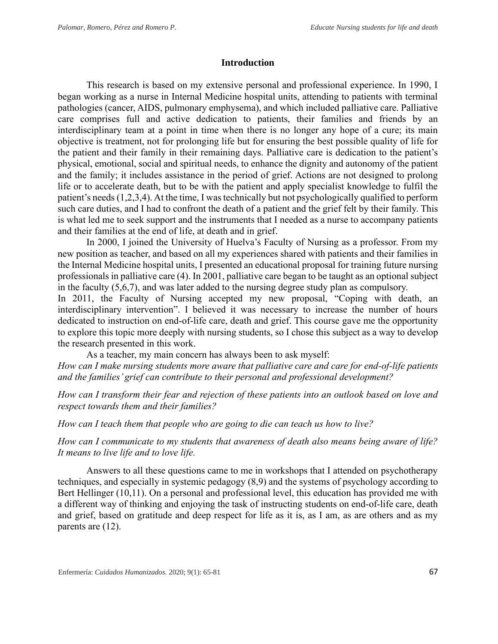### **Introduction**

This research is based on my extensive personal and professional experience. In 1990, I began working as a nurse in Internal Medicine hospital units, attending to patients with terminal pathologies (cancer, AIDS, pulmonary emphysema), and which included palliative care. Palliative care comprises full and active dedication to patients, their families and friends by an interdisciplinary team at a point in time when there is no longer any hope of a cure; its main objective is treatment, not for prolonging life but for ensuring the best possible quality of life for the patient and their family in their remaining days. Palliative care is dedication to the patient's physical, emotional, social and spiritual needs, to enhance the dignity and autonomy of the patient and the family; it includes assistance in the period of grief. Actions are not designed to prolong life or to accelerate death, but to be with the patient and apply specialist knowledge to fulfil the patient's needs (1,2,3,4). At the time, I was technically but not psychologically qualified to perform such care duties, and I had to confront the death of a patient and the grief felt by their family. This is what led me to seek support and the instruments that I needed as a nurse to accompany patients and their families at the end of life, at death and in grief.

In 2000, I joined the University of Huelva's Faculty of Nursing as a professor. From my new position as teacher, and based on all my experiences shared with patients and their families in the Internal Medicine hospital units, I presented an educational proposal for training future nursing professionals in palliative care (4). In 2001, palliative care began to be taught as an optional subject in the faculty (5,6,7), and was later added to the nursing degree study plan as compulsory.

In 2011, the Faculty of Nursing accepted my new proposal, "Coping with death, an interdisciplinary intervention". I believed it was necessary to increase the number of hours dedicated to instruction on end-of-life care, death and grief. This course gave me the opportunity to explore this topic more deeply with nursing students, so I chose this subject as a way to develop the research presented in this work.

As a teacher, my main concern has always been to ask myself:

*How can I make nursing students more aware that palliative care and care for end-of-life patients and the families' grief can contribute to their personal and professional development?* 

*How can I transform their fear and rejection of these patients into an outlook based on love and respect towards them and their families?* 

*How can I teach them that people who are going to die can teach us how to live?* 

*How can I communicate to my students that awareness of death also means being aware of life? It means to live life and to love life.*

Answers to all these questions came to me in workshops that I attended on psychotherapy techniques, and especially in systemic pedagogy (8,9) and the systems of psychology according to Bert Hellinger (10,11). On a personal and professional level, this education has provided me with a different way of thinking and enjoying the task of instructing students on end-of-life care, death and grief, based on gratitude and deep respect for life as it is, as I am, as are others and as my parents are (12).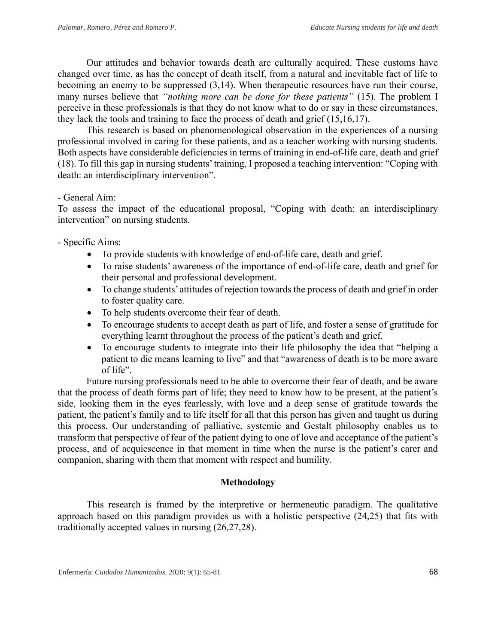Our attitudes and behavior towards death are culturally acquired. These customs have changed over time, as has the concept of death itself, from a natural and inevitable fact of life to becoming an enemy to be suppressed (3,14). When therapeutic resources have run their course, many nurses believe that *"nothing more can be done for these patients"* (15). The problem I perceive in these professionals is that they do not know what to do or say in these circumstances, they lack the tools and training to face the process of death and grief (15,16,17).

This research is based on phenomenological observation in the experiences of a nursing professional involved in caring for these patients, and as a teacher working with nursing students. Both aspects have considerable deficiencies in terms of training in end-of-life care, death and grief (18). To fill this gap in nursing students' training, I proposed a teaching intervention: "Coping with death: an interdisciplinary intervention".

## - General Aim:

To assess the impact of the educational proposal, "Coping with death: an interdisciplinary intervention" on nursing students.

- Specific Aims:

- To provide students with knowledge of end-of-life care, death and grief.
- To raise students' awareness of the importance of end-of-life care, death and grief for their personal and professional development.
- To change students' attitudes of rejection towards the process of death and grief in order to foster quality care.
- To help students overcome their fear of death.
- To encourage students to accept death as part of life, and foster a sense of gratitude for everything learnt throughout the process of the patient's death and grief.
- To encourage students to integrate into their life philosophy the idea that "helping a patient to die means learning to live" and that "awareness of death is to be more aware of life".

Future nursing professionals need to be able to overcome their fear of death, and be aware that the process of death forms part of life; they need to know how to be present, at the patient's side, looking them in the eyes fearlessly, with love and a deep sense of gratitude towards the patient, the patient's family and to life itself for all that this person has given and taught us during this process. Our understanding of palliative, systemic and Gestalt philosophy enables us to transform that perspective of fear of the patient dying to one of love and acceptance of the patient's process, and of acquiescence in that moment in time when the nurse is the patient's carer and companion, sharing with them that moment with respect and humility.

## **Methodology**

This research is framed by the interpretive or hermeneutic paradigm. The qualitative approach based on this paradigm provides us with a holistic perspective (24,25) that fits with traditionally accepted values in nursing (26,27,28).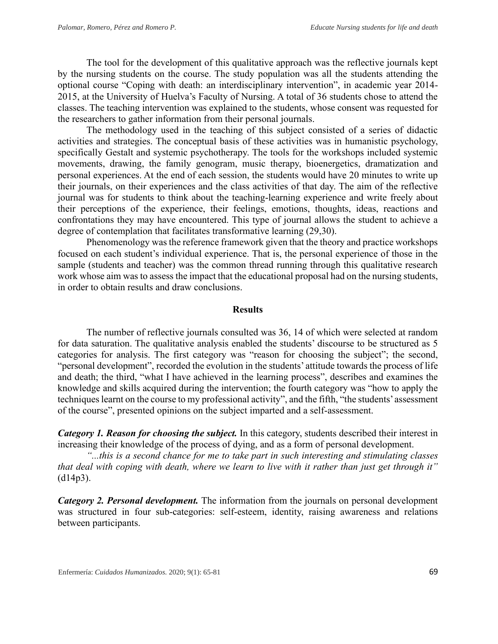The tool for the development of this qualitative approach was the reflective journals kept by the nursing students on the course. The study population was all the students attending the optional course "Coping with death: an interdisciplinary intervention", in academic year 2014- 2015, at the University of Huelva's Faculty of Nursing. A total of 36 students chose to attend the classes. The teaching intervention was explained to the students, whose consent was requested for the researchers to gather information from their personal journals.

The methodology used in the teaching of this subject consisted of a series of didactic activities and strategies. The conceptual basis of these activities was in humanistic psychology, specifically Gestalt and systemic psychotherapy. The tools for the workshops included systemic movements, drawing, the family genogram, music therapy, bioenergetics, dramatization and personal experiences. At the end of each session, the students would have 20 minutes to write up their journals, on their experiences and the class activities of that day. The aim of the reflective journal was for students to think about the teaching-learning experience and write freely about their perceptions of the experience, their feelings, emotions, thoughts, ideas, reactions and confrontations they may have encountered. This type of journal allows the student to achieve a degree of contemplation that facilitates transformative learning (29,30).

Phenomenology was the reference framework given that the theory and practice workshops focused on each student's individual experience. That is, the personal experience of those in the sample (students and teacher) was the common thread running through this qualitative research work whose aim was to assess the impact that the educational proposal had on the nursing students, in order to obtain results and draw conclusions.

#### **Results**

The number of reflective journals consulted was 36, 14 of which were selected at random for data saturation. The qualitative analysis enabled the students' discourse to be structured as 5 categories for analysis. The first category was "reason for choosing the subject"; the second, "personal development", recorded the evolution in the students' attitude towards the process of life and death; the third, "what I have achieved in the learning process", describes and examines the knowledge and skills acquired during the intervention; the fourth category was "how to apply the techniques learnt on the course to my professional activity", and the fifth, "the students' assessment of the course", presented opinions on the subject imparted and a self-assessment.

*Category 1. Reason for choosing the subject.* In this category, students described their interest in increasing their knowledge of the process of dying, and as a form of personal development.

*"...this is a second chance for me to take part in such interesting and stimulating classes that deal with coping with death, where we learn to live with it rather than just get through it"* (d14p3).

*Category 2. Personal development.* The information from the journals on personal development was structured in four sub-categories: self-esteem, identity, raising awareness and relations between participants.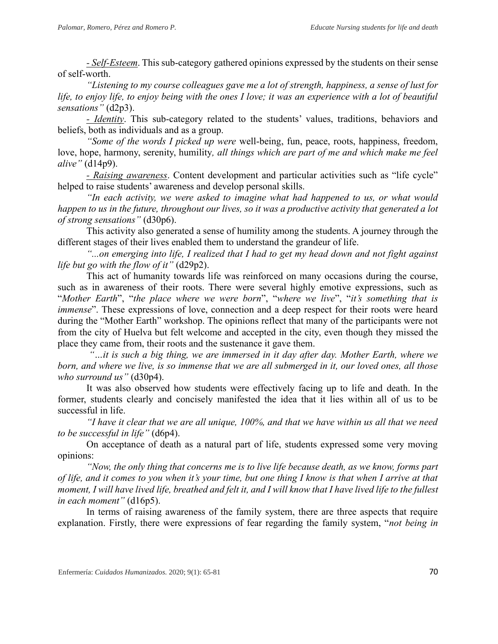*- Self-Esteem*. This sub-category gathered opinions expressed by the students on their sense of self-worth.

*"Listening to my course colleagues gave me a lot of strength, happiness, a sense of lust for life, to enjoy life, to enjoy being with the ones I love; it was an experience with a lot of beautiful sensations"* (d2p3).

*- Identity*. This sub-category related to the students' values, traditions, behaviors and beliefs, both as individuals and as a group.

*"Some of the words I picked up were* well-being, fun, peace, roots, happiness, freedom, love, hope, harmony, serenity, humility*, all things which are part of me and which make me feel alive"* (d14p9).

*- Raising awareness*. Content development and particular activities such as "life cycle" helped to raise students' awareness and develop personal skills.

*"In each activity, we were asked to imagine what had happened to us, or what would happen to us in the future, throughout our lives, so it was a productive activity that generated a lot of strong sensations"* (d30p6).

This activity also generated a sense of humility among the students. A journey through the different stages of their lives enabled them to understand the grandeur of life.

*"...on emerging into life, I realized that I had to get my head down and not fight against life but go with the flow of it"* (d29p2).

This act of humanity towards life was reinforced on many occasions during the course, such as in awareness of their roots. There were several highly emotive expressions, such as "*Mother Earth*", "*the place where we were born*", "*where we live*", "*it's something that is immense*". These expressions of love, connection and a deep respect for their roots were heard during the "Mother Earth" workshop. The opinions reflect that many of the participants were not from the city of Huelva but felt welcome and accepted in the city, even though they missed the place they came from, their roots and the sustenance it gave them.

*"…it is such a big thing, we are immersed in it day after day. Mother Earth, where we born, and where we live, is so immense that we are all submerged in it, our loved ones, all those who surround us"* (d30p4).

It was also observed how students were effectively facing up to life and death. In the former, students clearly and concisely manifested the idea that it lies within all of us to be successful in life.

*"I have it clear that we are all unique, 100%, and that we have within us all that we need to be successful in life"* (d6p4).

On acceptance of death as a natural part of life, students expressed some very moving opinions:

*"Now, the only thing that concerns me is to live life because death, as we know, forms part of life, and it comes to you when it's your time, but one thing I know is that when I arrive at that moment, I will have lived life, breathed and felt it, and I will know that I have lived life to the fullest in each moment"* (d16p5).

In terms of raising awareness of the family system, there are three aspects that require explanation. Firstly, there were expressions of fear regarding the family system, "*not being in*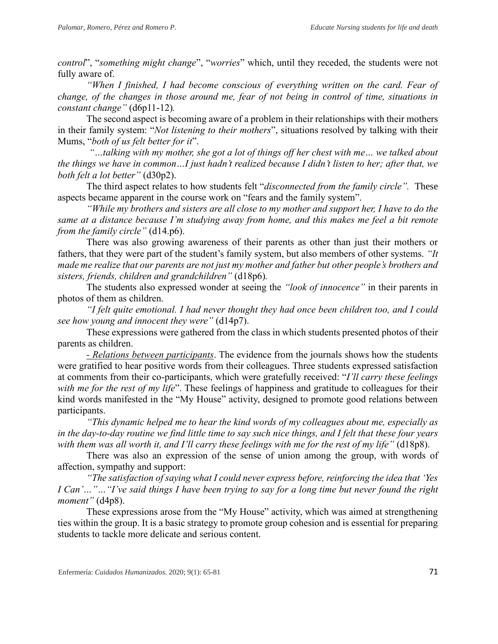*control*", "*something might change*", "*worries*" which, until they receded, the students were not fully aware of.

*"When I finished, I had become conscious of everything written on the card. Fear of change, of the changes in those around me, fear of not being in control of time, situations in constant change"* (d6p11-12)*.*

The second aspect is becoming aware of a problem in their relationships with their mothers in their family system: "*Not listening to their mothers*", situations resolved by talking with their Mums, "*both of us felt better for it*".

*"…talking with my mother, she got a lot of things off her chest with me… we talked about the things we have in common…I just hadn't realized because I didn't listen to her; after that, we both felt a lot better"* (d30p2).

The third aspect relates to how students felt "*disconnected from the family circle".* These aspects became apparent in the course work on "fears and the family system".

*"While my brothers and sisters are all close to my mother and support her, I have to do the same at a distance because I'm studying away from home, and this makes me feel a bit remote from the family circle"* (d14.p6).

There was also growing awareness of their parents as other than just their mothers or fathers, that they were part of the student's family system, but also members of other systems. *"It made me realize that our parents are not just my mother and father but other people's brothers and sisters, friends, children and grandchildren"* (d18p6)*.*

The students also expressed wonder at seeing the *"look of innocence"* in their parents in photos of them as children.

*"I felt quite emotional. I had never thought they had once been children too, and I could see how young and innocent they were"* (d14p7).

These expressions were gathered from the class in which students presented photos of their parents as children.

*- Relations between participants*. The evidence from the journals shows how the students were gratified to hear positive words from their colleagues. Three students expressed satisfaction at comments from their co-participants, which were gratefully received: "*I'll carry these feelings with me for the rest of my life*". These feelings of happiness and gratitude to colleagues for their kind words manifested in the "My House" activity, designed to promote good relations between participants.

*"This dynamic helped me to hear the kind words of my colleagues about me, especially as in the day-to-day routine we find little time to say such nice things, and I felt that these four years*  with them was all worth it, and I'll carry these feelings with me for the rest of my life" (d18p8).

There was also an expression of the sense of union among the group, with words of affection, sympathy and support:

*"The satisfaction of saying what I could never express before, reinforcing the idea that 'Yes I Can'…"…"I've said things I have been trying to say for a long time but never found the right moment"* (d4p8).

These expressions arose from the "My House" activity, which was aimed at strengthening ties within the group. It is a basic strategy to promote group cohesion and is essential for preparing students to tackle more delicate and serious content.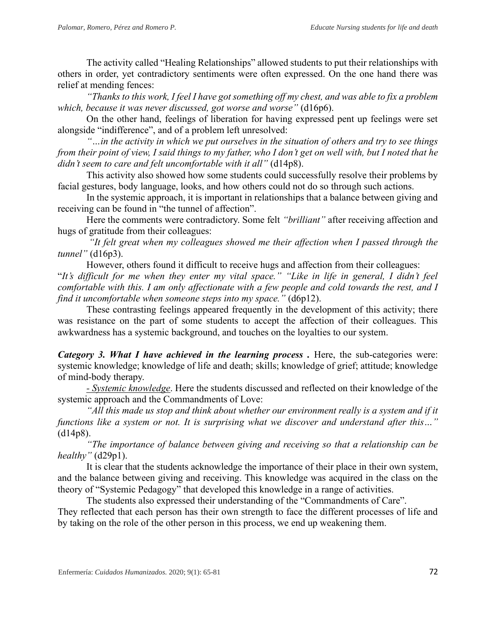The activity called "Healing Relationships" allowed students to put their relationships with others in order, yet contradictory sentiments were often expressed. On the one hand there was relief at mending fences:

*"Thanks to this work, I feel I have got something off my chest, and was able to fix a problem which, because it was never discussed, got worse and worse"* (d16p6).

On the other hand, feelings of liberation for having expressed pent up feelings were set alongside "indifference", and of a problem left unresolved:

*"…in the activity in which we put ourselves in the situation of others and try to see things from their point of view, I said things to my father, who I don't get on well with, but I noted that he didn't seem to care and felt uncomfortable with it all"* (d14p8).

This activity also showed how some students could successfully resolve their problems by facial gestures, body language, looks, and how others could not do so through such actions.

In the systemic approach, it is important in relationships that a balance between giving and receiving can be found in "the tunnel of affection".

Here the comments were contradictory. Some felt *"brilliant"* after receiving affection and hugs of gratitude from their colleagues:

*"It felt great when my colleagues showed me their affection when I passed through the tunnel"* (d16p3).

However, others found it difficult to receive hugs and affection from their colleagues:

"*It's difficult for me when they enter my vital space." "Like in life in general, I didn't feel comfortable with this. I am only affectionate with a few people and cold towards the rest, and I find it uncomfortable when someone steps into my space."* (d6p12).

These contrasting feelings appeared frequently in the development of this activity; there was resistance on the part of some students to accept the affection of their colleagues. This awkwardness has a systemic background, and touches on the loyalties to our system.

*Category 3. What I have achieved in the learning process.* Here, the sub-categories were: systemic knowledge; knowledge of life and death; skills; knowledge of grief; attitude; knowledge of mind-body therapy.

*- Systemic knowledge*. Here the students discussed and reflected on their knowledge of the systemic approach and the Commandments of Love:

*"All this made us stop and think about whether our environment really is a system and if it functions like a system or not. It is surprising what we discover and understand after this…"*  (d14p8).

*"The importance of balance between giving and receiving so that a relationship can be healthy"* (d29p1).

It is clear that the students acknowledge the importance of their place in their own system, and the balance between giving and receiving. This knowledge was acquired in the class on the theory of "Systemic Pedagogy" that developed this knowledge in a range of activities.

The students also expressed their understanding of the "Commandments of Care".

They reflected that each person has their own strength to face the different processes of life and by taking on the role of the other person in this process, we end up weakening them.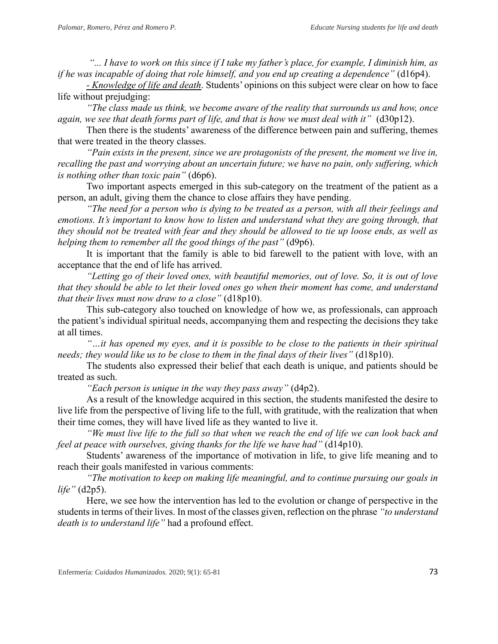*"... I have to work on this since if I take my father's place, for example, I diminish him, as if he was incapable of doing that role himself, and you end up creating a dependence"* (d16p4).

*- Knowledge of life and death*. Students' opinions on this subject were clear on how to face life without prejudging:

*"The class made us think, we become aware of the reality that surrounds us and how, once again, we see that death forms part of life, and that is how we must deal with it"* (d30p12).

Then there is the students' awareness of the difference between pain and suffering, themes that were treated in the theory classes.

*"Pain exists in the present, since we are protagonists of the present, the moment we live in, recalling the past and worrying about an uncertain future; we have no pain, only suffering, which is nothing other than toxic pain"* (d6p6).

Two important aspects emerged in this sub-category on the treatment of the patient as a person, an adult, giving them the chance to close affairs they have pending.

*"The need for a person who is dying to be treated as a person, with all their feelings and emotions. It's important to know how to listen and understand what they are going through, that they should not be treated with fear and they should be allowed to tie up loose ends, as well as helping them to remember all the good things of the past"* (d9p6).

It is important that the family is able to bid farewell to the patient with love, with an acceptance that the end of life has arrived.

*"Letting go of their loved ones, with beautiful memories, out of love. So, it is out of love that they should be able to let their loved ones go when their moment has come, and understand that their lives must now draw to a close"* (d18p10).

This sub-category also touched on knowledge of how we, as professionals, can approach the patient's individual spiritual needs, accompanying them and respecting the decisions they take at all times.

*"…it has opened my eyes, and it is possible to be close to the patients in their spiritual needs; they would like us to be close to them in the final days of their lives"* (d18p10).

The students also expressed their belief that each death is unique, and patients should be treated as such.

*"Each person is unique in the way they pass away"* (d4p2).

As a result of the knowledge acquired in this section, the students manifested the desire to live life from the perspective of living life to the full, with gratitude, with the realization that when their time comes, they will have lived life as they wanted to live it.

*"We must live life to the full so that when we reach the end of life we can look back and feel at peace with ourselves, giving thanks for the life we have had"* (d14p10).

Students' awareness of the importance of motivation in life, to give life meaning and to reach their goals manifested in various comments:

*"The motivation to keep on making life meaningful, and to continue pursuing our goals in life"* (d2p5).

Here, we see how the intervention has led to the evolution or change of perspective in the students in terms of their lives. In most of the classes given, reflection on the phrase *"to understand death is to understand life"* had a profound effect.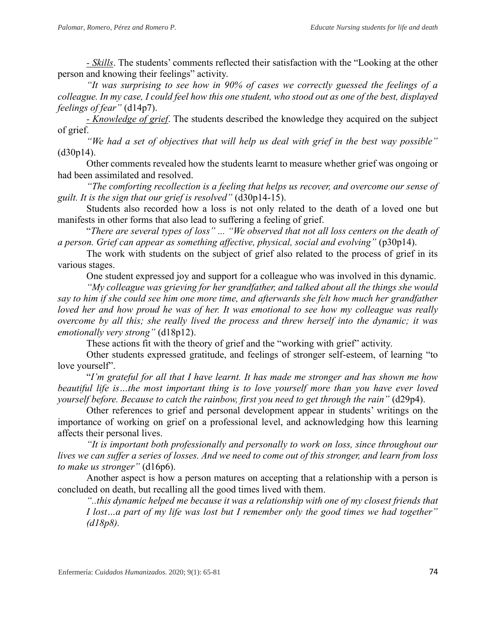*- Skills*. The students' comments reflected their satisfaction with the "Looking at the other person and knowing their feelings" activity.

*"It was surprising to see how in 90% of cases we correctly guessed the feelings of a colleague. In my case, I could feel how this one student, who stood out as one of the best, displayed feelings of fear"* (d14p7).

*- Knowledge of grief*. The students described the knowledge they acquired on the subject of grief.

*"We had a set of objectives that will help us deal with grief in the best way possible"*  (d30p14).

Other comments revealed how the students learnt to measure whether grief was ongoing or had been assimilated and resolved.

*"The comforting recollection is a feeling that helps us recover, and overcome our sense of guilt. It is the sign that our grief is resolved"* (d30p14-15).

Students also recorded how a loss is not only related to the death of a loved one but manifests in other forms that also lead to suffering a feeling of grief.

"*There are several types of loss" ... "We observed that not all loss centers on the death of a person. Grief can appear as something affective, physical, social and evolving"* (p30p14).

The work with students on the subject of grief also related to the process of grief in its various stages.

One student expressed joy and support for a colleague who was involved in this dynamic.

*"My colleague was grieving for her grandfather, and talked about all the things she would say to him if she could see him one more time, and afterwards she felt how much her grandfather loved her and how proud he was of her. It was emotional to see how my colleague was really overcome by all this; she really lived the process and threw herself into the dynamic; it was emotionally very strong"* (d18p12).

These actions fit with the theory of grief and the "working with grief" activity.

Other students expressed gratitude, and feelings of stronger self-esteem, of learning "to love yourself".

"*I'm grateful for all that I have learnt. It has made me stronger and has shown me how beautiful life is…the most important thing is to love yourself more than you have ever loved yourself before. Because to catch the rainbow, first you need to get through the rain"* (d29p4).

Other references to grief and personal development appear in students' writings on the importance of working on grief on a professional level, and acknowledging how this learning affects their personal lives.

*"It is important both professionally and personally to work on loss, since throughout our lives we can suffer a series of losses. And we need to come out of this stronger, and learn from loss to make us stronger"* (d16p6).

Another aspect is how a person matures on accepting that a relationship with a person is concluded on death, but recalling all the good times lived with them.

*"..this dynamic helped me because it was a relationship with one of my closest friends that I lost…a part of my life was lost but I remember only the good times we had together" (d18p8).*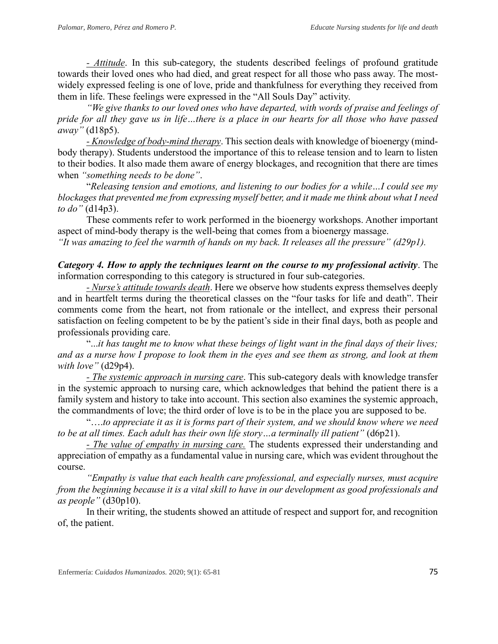*- Attitude*. In this sub-category, the students described feelings of profound gratitude towards their loved ones who had died, and great respect for all those who pass away. The mostwidely expressed feeling is one of love, pride and thankfulness for everything they received from them in life. These feelings were expressed in the "All Souls Day" activity.

*"We give thanks to our loved ones who have departed, with words of praise and feelings of pride for all they gave us in life…there is a place in our hearts for all those who have passed away"* (d18p5).

*- Knowledge of body-mind therapy*. This section deals with knowledge of bioenergy (mindbody therapy). Students understood the importance of this to release tension and to learn to listen to their bodies. It also made them aware of energy blockages, and recognition that there are times when *"something needs to be done"*.

"*Releasing tension and emotions, and listening to our bodies for a while…I could see my blockages that prevented me from expressing myself better, and it made me think about what I need to do"* (d14p3).

These comments refer to work performed in the bioenergy workshops. Another important aspect of mind-body therapy is the well-being that comes from a bioenergy massage.

*"It was amazing to feel the warmth of hands on my back. It releases all the pressure" (d29p1).* 

*Category 4. How to apply the techniques learnt on the course to my professional activity*. The information corresponding to this category is structured in four sub-categories.

*- Nurse's attitude towards death*. Here we observe how students express themselves deeply and in heartfelt terms during the theoretical classes on the "four tasks for life and death". Their comments come from the heart, not from rationale or the intellect, and express their personal satisfaction on feeling competent to be by the patient's side in their final days, both as people and professionals providing care.

"...*it has taught me to know what these beings of light want in the final days of their lives; and as a nurse how I propose to look them in the eyes and see them as strong, and look at them with love"* (d29p4).

*- The systemic approach in nursing care*. This sub-category deals with knowledge transfer in the systemic approach to nursing care, which acknowledges that behind the patient there is a family system and history to take into account. This section also examines the systemic approach, the commandments of love; the third order of love is to be in the place you are supposed to be.

"….*to appreciate it as it is forms part of their system, and we should know where we need to be at all times. Each adult has their own life story…a terminally ill patient"* (d6p21).

*- The value of empathy in nursing care.* The students expressed their understanding and appreciation of empathy as a fundamental value in nursing care, which was evident throughout the course.

*"Empathy is value that each health care professional, and especially nurses, must acquire from the beginning because it is a vital skill to have in our development as good professionals and as people"* (d30p10).

In their writing, the students showed an attitude of respect and support for, and recognition of, the patient.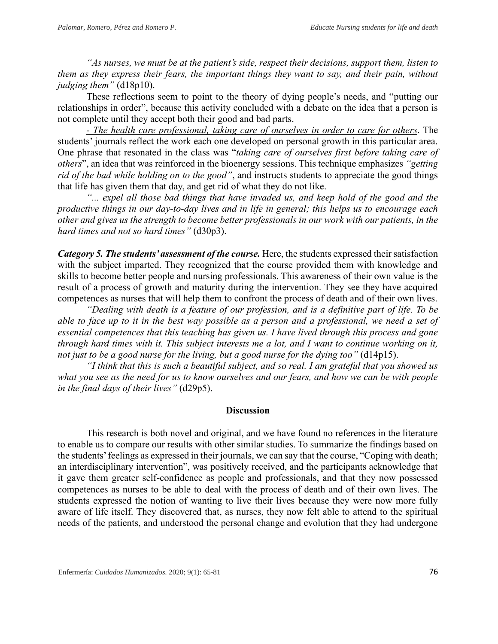*"As nurses, we must be at the patient's side, respect their decisions, support them, listen to them as they express their fears, the important things they want to say, and their pain, without judging them"* (d18p10).

These reflections seem to point to the theory of dying people's needs, and "putting our relationships in order", because this activity concluded with a debate on the idea that a person is not complete until they accept both their good and bad parts.

*- The health care professional, taking care of ourselves in order to care for others*. The students' journals reflect the work each one developed on personal growth in this particular area. One phrase that resonated in the class was "*taking care of ourselves first before taking care of others*", an idea that was reinforced in the bioenergy sessions. This technique emphasizes *"getting rid of the bad while holding on to the good"*, and instructs students to appreciate the good things that life has given them that day, and get rid of what they do not like.

*"... expel all those bad things that have invaded us, and keep hold of the good and the productive things in our day-to-day lives and in life in general; this helps us to encourage each other and gives us the strength to become better professionals in our work with our patients, in the hard times and not so hard times"* (d30p3).

*Category 5. The students' assessment of the course.* Here, the students expressed their satisfaction with the subject imparted. They recognized that the course provided them with knowledge and skills to become better people and nursing professionals. This awareness of their own value is the result of a process of growth and maturity during the intervention. They see they have acquired competences as nurses that will help them to confront the process of death and of their own lives.

*"Dealing with death is a feature of our profession, and is a definitive part of life. To be able to face up to it in the best way possible as a person and a professional, we need a set of essential competences that this teaching has given us. I have lived through this process and gone through hard times with it. This subject interests me a lot, and I want to continue working on it, not just to be a good nurse for the living, but a good nurse for the dying too"* (d14p15).

*"I think that this is such a beautiful subject, and so real. I am grateful that you showed us what you see as the need for us to know ourselves and our fears, and how we can be with people in the final days of their lives"* (d29p5).

## **Discussion**

This research is both novel and original, and we have found no references in the literature to enable us to compare our results with other similar studies. To summarize the findings based on the students' feelings as expressed in their journals, we can say that the course, "Coping with death; an interdisciplinary intervention", was positively received, and the participants acknowledge that it gave them greater self-confidence as people and professionals, and that they now possessed competences as nurses to be able to deal with the process of death and of their own lives. The students expressed the notion of wanting to live their lives because they were now more fully aware of life itself. They discovered that, as nurses, they now felt able to attend to the spiritual needs of the patients, and understood the personal change and evolution that they had undergone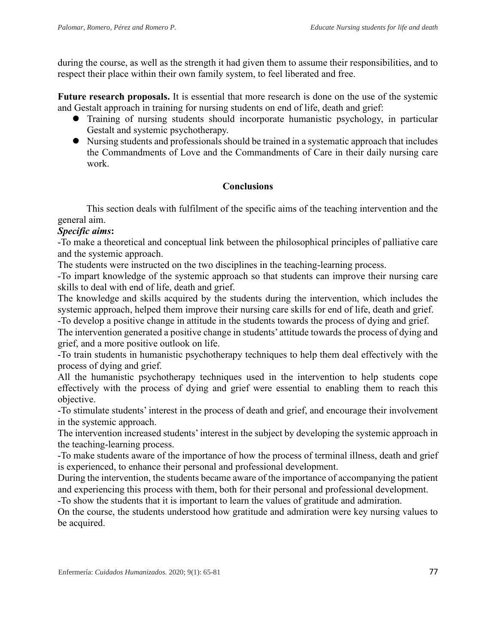during the course, as well as the strength it had given them to assume their responsibilities, and to respect their place within their own family system, to feel liberated and free.

**Future research proposals.** It is essential that more research is done on the use of the systemic and Gestalt approach in training for nursing students on end of life, death and grief:

- ⚫ Training of nursing students should incorporate humanistic psychology, in particular Gestalt and systemic psychotherapy.
- ⚫ Nursing students and professionals should be trained in a systematic approach that includes the Commandments of Love and the Commandments of Care in their daily nursing care work.

# **Conclusions**

This section deals with fulfilment of the specific aims of the teaching intervention and the general aim.

# *Specific aims***:**

-To make a theoretical and conceptual link between the philosophical principles of palliative care and the systemic approach.

The students were instructed on the two disciplines in the teaching-learning process.

-To impart knowledge of the systemic approach so that students can improve their nursing care skills to deal with end of life, death and grief.

The knowledge and skills acquired by the students during the intervention, which includes the systemic approach, helped them improve their nursing care skills for end of life, death and grief.

-To develop a positive change in attitude in the students towards the process of dying and grief. The intervention generated a positive change in students' attitude towards the process of dying and grief, and a more positive outlook on life.

-To train students in humanistic psychotherapy techniques to help them deal effectively with the process of dying and grief.

All the humanistic psychotherapy techniques used in the intervention to help students cope effectively with the process of dying and grief were essential to enabling them to reach this objective.

-To stimulate students' interest in the process of death and grief, and encourage their involvement in the systemic approach.

The intervention increased students' interest in the subject by developing the systemic approach in the teaching-learning process.

-To make students aware of the importance of how the process of terminal illness, death and grief is experienced, to enhance their personal and professional development.

During the intervention, the students became aware of the importance of accompanying the patient and experiencing this process with them, both for their personal and professional development.

-To show the students that it is important to learn the values of gratitude and admiration.

On the course, the students understood how gratitude and admiration were key nursing values to be acquired.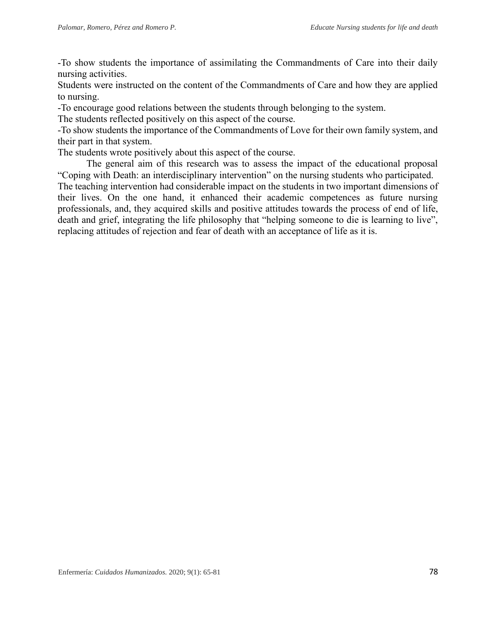-To show students the importance of assimilating the Commandments of Care into their daily nursing activities.

Students were instructed on the content of the Commandments of Care and how they are applied to nursing.

-To encourage good relations between the students through belonging to the system.

The students reflected positively on this aspect of the course.

-To show students the importance of the Commandments of Love for their own family system, and their part in that system.

The students wrote positively about this aspect of the course.

The general aim of this research was to assess the impact of the educational proposal "Coping with Death: an interdisciplinary intervention" on the nursing students who participated.

The teaching intervention had considerable impact on the students in two important dimensions of their lives. On the one hand, it enhanced their academic competences as future nursing professionals, and, they acquired skills and positive attitudes towards the process of end of life, death and grief, integrating the life philosophy that "helping someone to die is learning to live", replacing attitudes of rejection and fear of death with an acceptance of life as it is.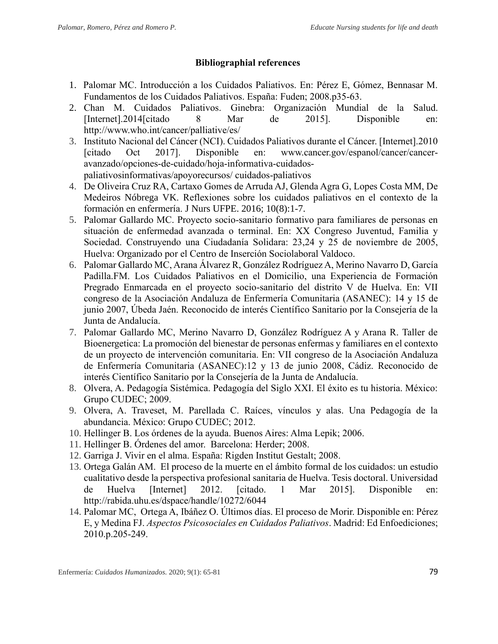# **Bibliographial references**

- 1. Palomar MC. Introducción a los Cuidados Paliativos. En: Pérez E, Gómez, Bennasar M. Fundamentos de los Cuidados Paliativos. España: Fuden; 2008.p35-63.
- 2. Chan M. Cuidados Paliativos. Ginebra: Organización Mundial de la Salud. [Internet].2014[citado 8 Mar de 2015]. Disponible en: http://www.who.int/cancer/palliative/es/
- 3. Instituto Nacional del Cáncer (NCI). Cuidados Paliativos durante el Cáncer. [Internet].2010 [citado Oct 2017]. Disponible en: www.cancer.gov/espanol/cancer/canceravanzado/opciones-de-cuidado/hoja-informativa-cuidadospaliativosinformativas/apoyorecursos/ cuidados-paliativos
- 4. De Oliveira Cruz RA, Cartaxo Gomes de Arruda AJ, Glenda Agra G, Lopes Costa MM, De Medeiros Nóbrega VK. Reflexiones sobre los cuidados paliativos en el contexto de la formación en enfermería. J Nurs UFPE. 2016; 10(8):1-7.
- 5. Palomar Gallardo MC. Proyecto socio-sanitario formativo para familiares de personas en situación de enfermedad avanzada o terminal. En: XX Congreso Juventud, Familia y Sociedad. Construyendo una Ciudadanía Solidara: 23,24 y 25 de noviembre de 2005, Huelva: Organizado por el Centro de Inserción Sociolaboral Valdoco.
- 6. Palomar Gallardo MC, Arana Álvarez R, González Rodríguez A, Merino Navarro D, García Padilla.FM. Los Cuidados Paliativos en el Domicilio, una Experiencia de Formación Pregrado Enmarcada en el proyecto socio-sanitario del distrito V de Huelva. En: VII congreso de la Asociación Andaluza de Enfermería Comunitaria (ASANEC): 14 y 15 de junio 2007, Úbeda Jaén. Reconocido de interés Científico Sanitario por la Consejería de la Junta de Andalucía.
- 7. Palomar Gallardo MC, Merino Navarro D, González Rodríguez A y Arana R. Taller de Bioenergetica: La promoción del bienestar de personas enfermas y familiares en el contexto de un proyecto de intervención comunitaria. En: VII congreso de la Asociación Andaluza de Enfermería Comunitaria (ASANEC):12 y 13 de junio 2008, Cádiz. Reconocido de interés Científico Sanitario por la Consejería de la Junta de Andalucía.
- 8. Olvera, A. Pedagogía Sistémica. Pedagogía del Siglo XXI. El éxito es tu historia. México: Grupo CUDEC; 2009.
- 9. Olvera, A. Traveset, M. Parellada C. Raíces, vínculos y alas. Una Pedagogía de la abundancia. México: Grupo CUDEC; 2012.
- 10. Hellinger B. Los órdenes de la ayuda. Buenos Aires: Alma Lepik; 2006.
- 11. Hellinger B. Órdenes del amor. Barcelona: Herder; 2008.
- 12. Garriga J. Vivir en el alma. España: Rigden Institut Gestalt; 2008.
- 13. Ortega Galán AM. El proceso de la muerte en el ámbito formal de los cuidados: un estudio cualitativo desde la perspectiva profesional sanitaria de Huelva. Tesis doctoral. Universidad de Huelva [Internet] 2012. [citado. 1 Mar 2015]. Disponible en: http://rabida.uhu.es/dspace/handle/10272/6044
- 14. Palomar MC, Ortega A, Ibáñez O. Últimos días. El proceso de Morir. Disponible en: Pérez E, y Medina FJ. *Aspectos Psicosociales en Cuidados Paliativos*. Madrid: Ed Enfoediciones; 2010.p.205-249.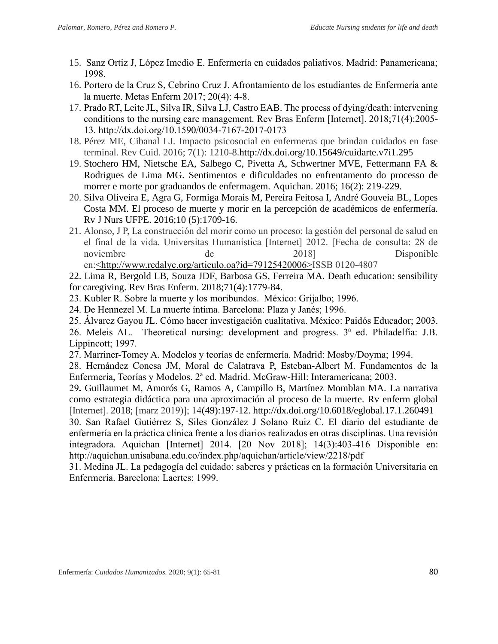- 15. Sanz Ortiz J, López Imedio E. Enfermería en cuidados paliativos. Madrid: Panamericana; 1998.
- 16. Portero de la Cruz S, Cebrino Cruz J. Afrontamiento de los estudiantes de Enfermería ante la muerte. Metas Enferm 2017; 20(4): 4-8.
- 17. Prado RT, Leite JL, Silva IR, Silva LJ, Castro EAB. The process of dying/death: intervening conditions to the nursing care management. Rev Bras Enferm [Internet]. 2018;71(4):2005- 13. http://dx.doi.org/10.1590/0034-7167-2017-0173
- 18. Pérez ME, Cibanal LJ. Impacto psicosocial en enfermeras que brindan cuidados en fase terminal. Rev Cuid. 2016; 7(1): 1210-8.http://dx.doi.org/10.15649/cuidarte.v7i1.295
- 19. Stochero HM, Nietsche EA, Salbego C, Pivetta A, Schwertner MVE, Fettermann FA & Rodrigues de Lima MG. Sentimentos e dificuldades no enfrentamento do processo de morrer e morte por graduandos de enfermagem. Aquichan. 2016; 16(2): 219-229.
- 20. Silva Oliveira E, Agra G, Formiga Morais M, Pereira Feitosa I, André Gouveia BL, Lopes Costa MM. El proceso de muerte y morir en la percepción de académicos de enfermería. Rv J Nurs UFPE. 2016;10 (5):1709-16.
- 21. Alonso, J P, La construcción del morir como un proceso: la gestión del personal de salud en el final de la vida. Universitas Humanística [Internet] 2012. [Fecha de consulta: 28 de noviembre de 2018] de Disponible en[:<http://www.redalyc.org/articulo.oa?id=79125420006>I](http://www.redalyc.org/articulo.oa)SSB 0120-4807
- 22. Lima R, Bergold LB, Souza JDF, Barbosa GS, Ferreira MA. Death education: sensibility for caregiving. Rev Bras Enferm. 2018;71(4):1779-84.
- 23. Kubler R. Sobre la muerte y los moribundos. México: Grijalbo; 1996.
- 24. De Hennezel M. La muerte íntima. Barcelona: Plaza y Janés; 1996.
- 25. Álvarez Gayou JL. Cómo hacer investigación cualitativa. México: Paidós Educador; 2003.

26. Meleis AL. Theoretical nursing: development and progress. 3ª ed. Philadelfia: J.B. Lippincott; 1997.

27. Marriner-Tomey A. Modelos y teorías de enfermería. Madrid: Mosby/Doyma; 1994.

28. Hernández Conesa JM, Moral de Calatrava P, Esteban-Albert M. Fundamentos de la Enfermería, Teorías y Modelos. 2ª ed. Madrid. McGraw-Hill: Interamericana; 2003.

29**.** Guillaumet M, Amorós G, Ramos A, Campillo B, Martínez Momblan MA. La narrativa como estrategia didáctica para una aproximación al proceso de la muerte. Rv enferm global [Internet]. 2018; [marz 2019)]; 14(49):197-12. http://dx.doi.org/10.6018/eglobal.17.1.260491

30. San Rafael Gutiérrez S, Siles González J Solano Ruiz C. El diario del estudiante de enfermería en la práctica clínica frente a los diarios realizados en otras disciplinas. Una revisión integradora. Aquichan [Internet] 2014. [20 Nov 2018]; 14(3):403-416 Disponible en: http://aquichan.unisabana.edu.co/index.php/aquichan/article/view/2218/pdf

31. Medina JL. La pedagogía del cuidado: saberes y prácticas en la formación Universitaria en Enfermería. Barcelona: Laertes; 1999.